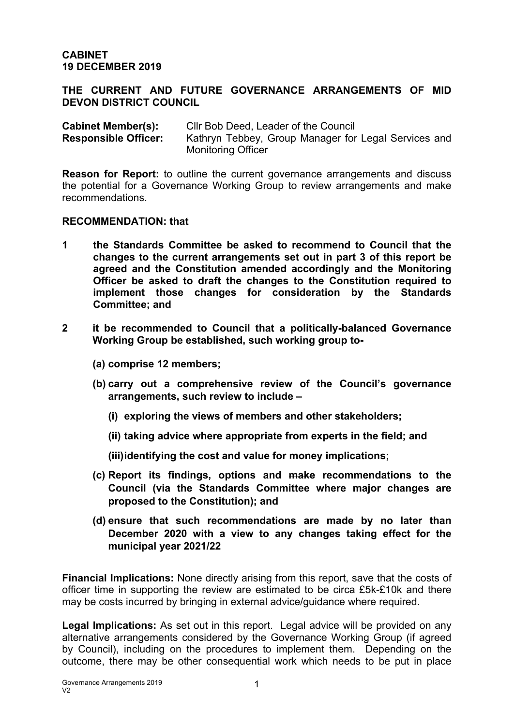#### **CABINET 19 DECEMBER 2019**

### **THE CURRENT AND FUTURE GOVERNANCE ARRANGEMENTS OF MID DEVON DISTRICT COUNCIL**

| <b>Cabinet Member(s):</b>   | Cllr Bob Deed, Leader of the Council                 |
|-----------------------------|------------------------------------------------------|
| <b>Responsible Officer:</b> | Kathryn Tebbey, Group Manager for Legal Services and |
|                             | <b>Monitoring Officer</b>                            |

**Reason for Report:** to outline the current governance arrangements and discuss the potential for a Governance Working Group to review arrangements and make recommendations.

#### **RECOMMENDATION: that**

- **1 the Standards Committee be asked to recommend to Council that the changes to the current arrangements set out in part 3 of this report be agreed and the Constitution amended accordingly and the Monitoring Officer be asked to draft the changes to the Constitution required to implement those changes for consideration by the Standards Committee; and**
- **2 it be recommended to Council that a politically-balanced Governance Working Group be established, such working group to-**
	- **(a) comprise 12 members;**
	- **(b) carry out a comprehensive review of the Council's governance arrangements, such review to include –**
		- **(i) exploring the views of members and other stakeholders;**
		- **(ii) taking advice where appropriate from experts in the field; and**
		- **(iii)identifying the cost and value for money implications;**
	- **(c) Report its findings, options and make recommendations to the Council (via the Standards Committee where major changes are proposed to the Constitution); and**
	- **(d) ensure that such recommendations are made by no later than December 2020 with a view to any changes taking effect for the municipal year 2021/22**

**Financial Implications:** None directly arising from this report, save that the costs of officer time in supporting the review are estimated to be circa £5k-£10k and there may be costs incurred by bringing in external advice/guidance where required.

**Legal Implications:** As set out in this report. Legal advice will be provided on any alternative arrangements considered by the Governance Working Group (if agreed by Council), including on the procedures to implement them. Depending on the outcome, there may be other consequential work which needs to be put in place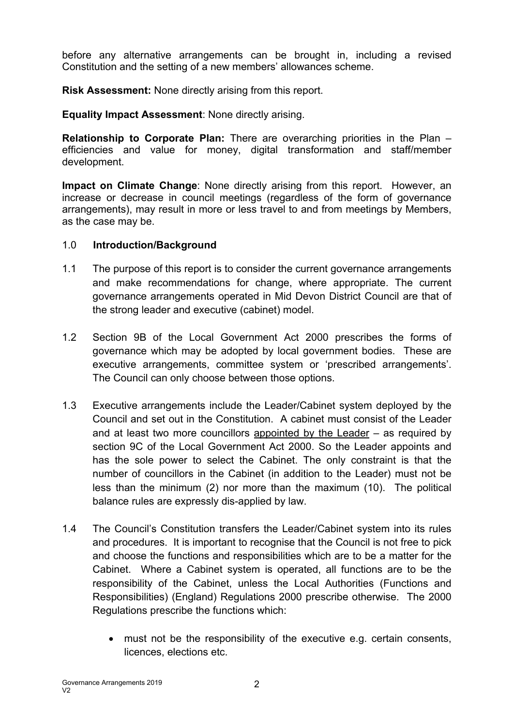before any alternative arrangements can be brought in, including a revised Constitution and the setting of a new members' allowances scheme.

**Risk Assessment:** None directly arising from this report.

**Equality Impact Assessment**: None directly arising.

**Relationship to Corporate Plan:** There are overarching priorities in the Plan – efficiencies and value for money, digital transformation and staff/member development.

**Impact on Climate Change**: None directly arising from this report. However, an increase or decrease in council meetings (regardless of the form of governance arrangements), may result in more or less travel to and from meetings by Members, as the case may be.

### 1.0 **Introduction/Background**

- 1.1 The purpose of this report is to consider the current governance arrangements and make recommendations for change, where appropriate. The current governance arrangements operated in Mid Devon District Council are that of the strong leader and executive (cabinet) model.
- 1.2 Section 9B of the Local Government Act 2000 prescribes the forms of governance which may be adopted by local government bodies. These are executive arrangements, committee system or 'prescribed arrangements'. The Council can only choose between those options.
- 1.3 Executive arrangements include the Leader/Cabinet system deployed by the Council and set out in the Constitution. A cabinet must consist of the Leader and at least two more councillors appointed by the Leader – as required by section 9C of the Local Government Act 2000. So the Leader appoints and has the sole power to select the Cabinet. The only constraint is that the number of councillors in the Cabinet (in addition to the Leader) must not be less than the minimum (2) nor more than the maximum (10). The political balance rules are expressly dis-applied by law.
- 1.4 The Council's Constitution transfers the Leader/Cabinet system into its rules and procedures. It is important to recognise that the Council is not free to pick and choose the functions and responsibilities which are to be a matter for the Cabinet. Where a Cabinet system is operated, all functions are to be the responsibility of the Cabinet, unless the Local Authorities (Functions and Responsibilities) (England) Regulations 2000 prescribe otherwise. The 2000 Regulations prescribe the functions which:
	- must not be the responsibility of the executive e.g. certain consents, licences, elections etc.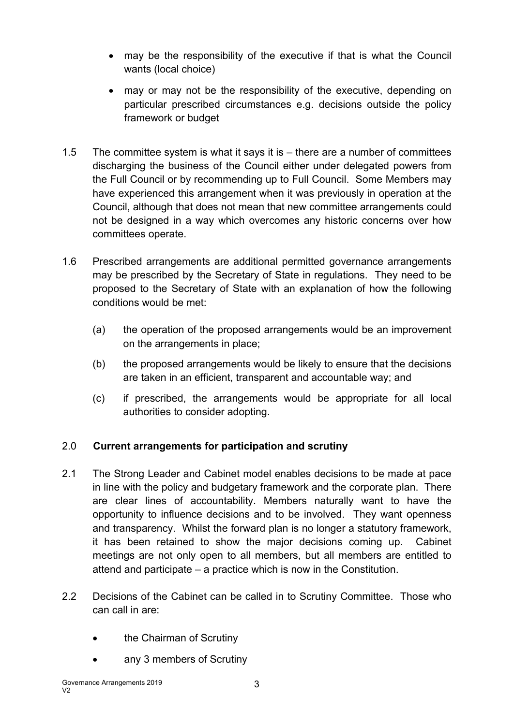- may be the responsibility of the executive if that is what the Council wants (local choice)
- may or may not be the responsibility of the executive, depending on particular prescribed circumstances e.g. decisions outside the policy framework or budget
- 1.5 The committee system is what it says it is there are a number of committees discharging the business of the Council either under delegated powers from the Full Council or by recommending up to Full Council. Some Members may have experienced this arrangement when it was previously in operation at the Council, although that does not mean that new committee arrangements could not be designed in a way which overcomes any historic concerns over how committees operate.
- 1.6 Prescribed arrangements are additional permitted governance arrangements may be prescribed by the Secretary of State in regulations. They need to be proposed to the Secretary of State with an explanation of how the following conditions would be met:
	- (a) the operation of the proposed arrangements would be an improvement on the arrangements in place;
	- (b) the proposed arrangements would be likely to ensure that the decisions are taken in an efficient, transparent and accountable way; and
	- (c) if prescribed, the arrangements would be appropriate for all local authorities to consider adopting.

# 2.0 **Current arrangements for participation and scrutiny**

- 2.1 The Strong Leader and Cabinet model enables decisions to be made at pace in line with the policy and budgetary framework and the corporate plan. There are clear lines of accountability. Members naturally want to have the opportunity to influence decisions and to be involved. They want openness and transparency. Whilst the forward plan is no longer a statutory framework, it has been retained to show the major decisions coming up. Cabinet meetings are not only open to all members, but all members are entitled to attend and participate – a practice which is now in the Constitution.
- 2.2 Decisions of the Cabinet can be called in to Scrutiny Committee. Those who can call in are:
	- the Chairman of Scrutiny
	- any 3 members of Scrutiny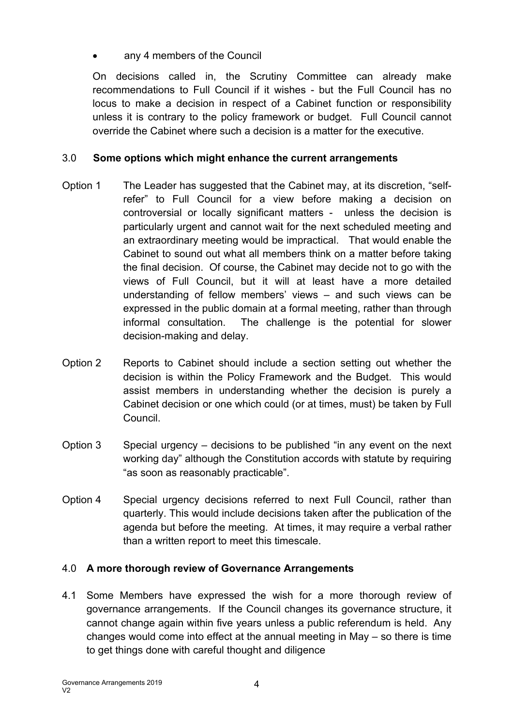## any 4 members of the Council

On decisions called in, the Scrutiny Committee can already make recommendations to Full Council if it wishes - but the Full Council has no locus to make a decision in respect of a Cabinet function or responsibility unless it is contrary to the policy framework or budget. Full Council cannot override the Cabinet where such a decision is a matter for the executive.

## 3.0 **Some options which might enhance the current arrangements**

- Option 1 The Leader has suggested that the Cabinet may, at its discretion, "selfrefer" to Full Council for a view before making a decision on controversial or locally significant matters - unless the decision is particularly urgent and cannot wait for the next scheduled meeting and an extraordinary meeting would be impractical. That would enable the Cabinet to sound out what all members think on a matter before taking the final decision. Of course, the Cabinet may decide not to go with the views of Full Council, but it will at least have a more detailed understanding of fellow members' views – and such views can be expressed in the public domain at a formal meeting, rather than through informal consultation. The challenge is the potential for slower decision-making and delay.
- Option 2 Reports to Cabinet should include a section setting out whether the decision is within the Policy Framework and the Budget. This would assist members in understanding whether the decision is purely a Cabinet decision or one which could (or at times, must) be taken by Full Council.
- Option 3 Special urgency decisions to be published "in any event on the next working day" although the Constitution accords with statute by requiring "as soon as reasonably practicable".
- Option 4 Special urgency decisions referred to next Full Council, rather than quarterly. This would include decisions taken after the publication of the agenda but before the meeting. At times, it may require a verbal rather than a written report to meet this timescale.

# 4.0 **A more thorough review of Governance Arrangements**

4.1 Some Members have expressed the wish for a more thorough review of governance arrangements. If the Council changes its governance structure, it cannot change again within five years unless a public referendum is held. Any changes would come into effect at the annual meeting in May – so there is time to get things done with careful thought and diligence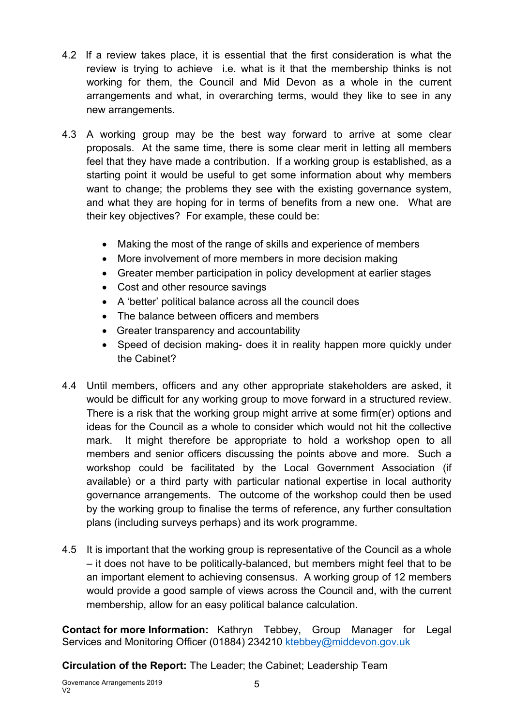- 4.2 If a review takes place, it is essential that the first consideration is what the review is trying to achieve i.e. what is it that the membership thinks is not working for them, the Council and Mid Devon as a whole in the current arrangements and what, in overarching terms, would they like to see in any new arrangements.
- 4.3 A working group may be the best way forward to arrive at some clear proposals. At the same time, there is some clear merit in letting all members feel that they have made a contribution. If a working group is established, as a starting point it would be useful to get some information about why members want to change; the problems they see with the existing governance system, and what they are hoping for in terms of benefits from a new one. What are their key objectives? For example, these could be:
	- Making the most of the range of skills and experience of members
	- More involvement of more members in more decision making
	- Greater member participation in policy development at earlier stages
	- Cost and other resource savings
	- A 'better' political balance across all the council does
	- The balance between officers and members
	- Greater transparency and accountability
	- Speed of decision making- does it in reality happen more quickly under the Cabinet?
- 4.4 Until members, officers and any other appropriate stakeholders are asked, it would be difficult for any working group to move forward in a structured review. There is a risk that the working group might arrive at some firm(er) options and ideas for the Council as a whole to consider which would not hit the collective mark. It might therefore be appropriate to hold a workshop open to all members and senior officers discussing the points above and more. Such a workshop could be facilitated by the Local Government Association (if available) or a third party with particular national expertise in local authority governance arrangements. The outcome of the workshop could then be used by the working group to finalise the terms of reference, any further consultation plans (including surveys perhaps) and its work programme.
- 4.5 It is important that the working group is representative of the Council as a whole – it does not have to be politically-balanced, but members might feel that to be an important element to achieving consensus. A working group of 12 members would provide a good sample of views across the Council and, with the current membership, allow for an easy political balance calculation.

**Contact for more Information:** Kathryn Tebbey, Group Manager for Legal Services and Monitoring Officer (01884) 234210 [ktebbey@middevon.gov.uk](mailto:ktebbey@middevon.gov.uk)

**Circulation of the Report:** The Leader; the Cabinet; Leadership Team